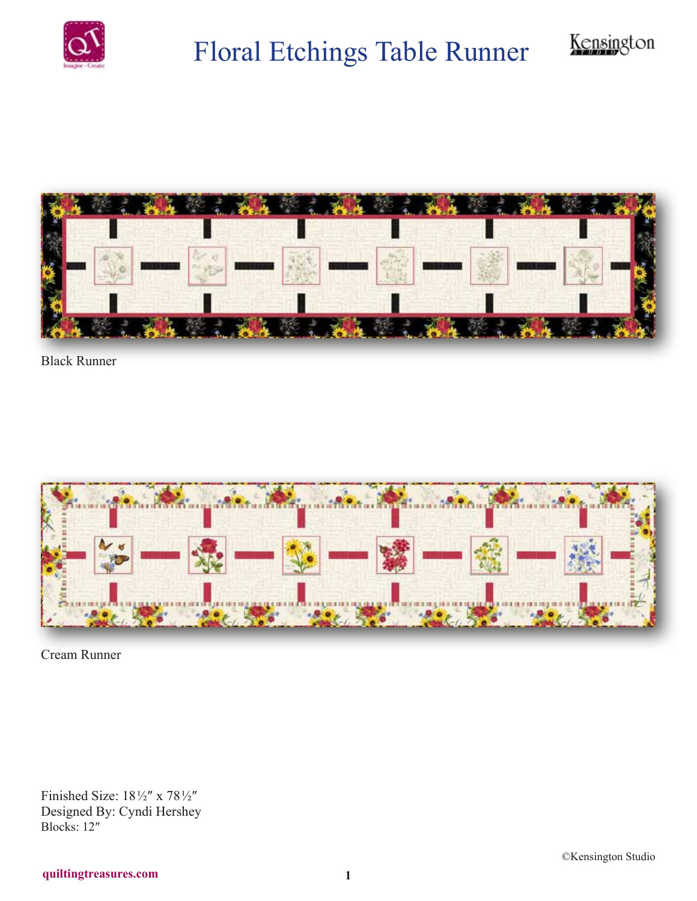

## Floral Etchings Table Runner



Black Runner



Cream Runner

Finished Size: 18 ½″ x 78 ½″ Designed By: Cyndi Hershey Blocks: 12″

Kensington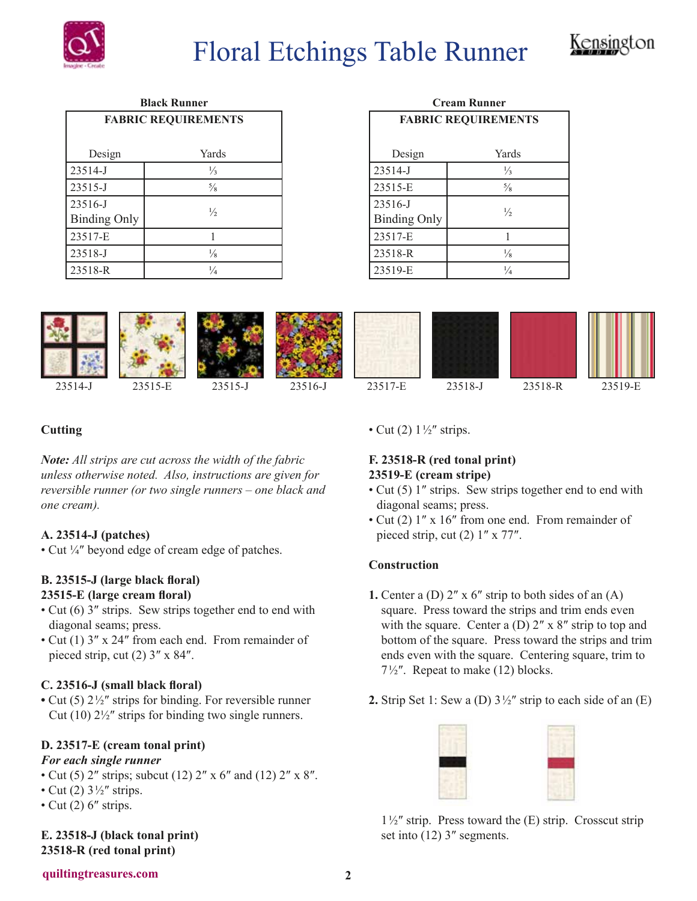

## Floral Etchings Table Runner



| <b>Black Runner</b><br><b>FABRIC REQUIREMENTS</b> |               |  |
|---------------------------------------------------|---------------|--|
|                                                   |               |  |
| Design                                            | Yards         |  |
| 23514-J                                           | $\frac{1}{3}$ |  |
| 23515-J                                           | $\frac{5}{8}$ |  |
| 23516-J                                           | $\frac{1}{2}$ |  |
| <b>Binding Only</b>                               |               |  |
| 23517-E                                           | 1             |  |
| 23518-J                                           | $\frac{1}{8}$ |  |
| 23518-R                                           | $\frac{1}{4}$ |  |

| <b>Cream Runner</b>            |               |
|--------------------------------|---------------|
| <b>FABRIC REQUIREMENTS</b>     |               |
| Design                         | Yards         |
| 23514-J                        | $\frac{1}{3}$ |
| 23515-E                        | $\frac{5}{8}$ |
| 23516-J<br><b>Binding Only</b> | $\frac{1}{2}$ |
| 23517-E                        |               |
| 23518-R                        | $\frac{1}{8}$ |
| 23519-E                        | $\frac{1}{4}$ |



## **Cutting**

*Note: All strips are cut across the width of the fabric unless otherwise noted. Also, instructions are given for reversible runner (or two single runners – one black and one cream).*

## **A. 23514-J (patches)**

• Cut ¼″ beyond edge of cream edge of patches.

#### **B. 23515-J (large black floral) 23515-E (large cream floral)**

- Cut (6) 3″ strips. Sew strips together end to end with diagonal seams; press.
- Cut (1) 3″ x 24″ from each end. From remainder of pieced strip, cut (2) 3″ x 84″.

## **C. 23516-J (small black floral)**

**•** Cut (5) 2 ½″ strips for binding. For reversible runner Cut (10)  $2\frac{1}{2}$ " strips for binding two single runners.

## **D. 23517-E (cream tonal print)**

#### *For each single runner*

- Cut (5) 2" strips; subcut (12) 2" x 6" and (12) 2" x 8".
- Cut (2)  $3\frac{1}{2}$ " strips.
- Cut  $(2)$  6" strips.

**E. 23518-J (black tonal print) 23518-R (red tonal print)**

• Cut (2)  $1\frac{1}{2}$ " strips.

## **F. 23518-R (red tonal print) 23519-E (cream stripe)**

- Cut (5) 1″ strips. Sew strips together end to end with diagonal seams; press.
- Cut (2) 1″ x 16″ from one end. From remainder of pieced strip, cut (2) 1″ x 77″.

## **Construction**

- **1.** Center a (D)  $2'' \times 6''$  strip to both sides of an (A) square. Press toward the strips and trim ends even with the square. Center a (D)  $2'' \times 8''$  strip to top and bottom of the square. Press toward the strips and trim ends even with the square. Centering square, trim to  $7\frac{1}{2}$ ". Repeat to make (12) blocks.
- **2.** Strip Set 1: Sew a (D)  $3\frac{1}{2}$ " strip to each side of an (E)



 $1\frac{1}{2}$ " strip. Press toward the (E) strip. Crosscut strip set into (12) 3″ segments.

#### **quiltingtreasures.com 2**